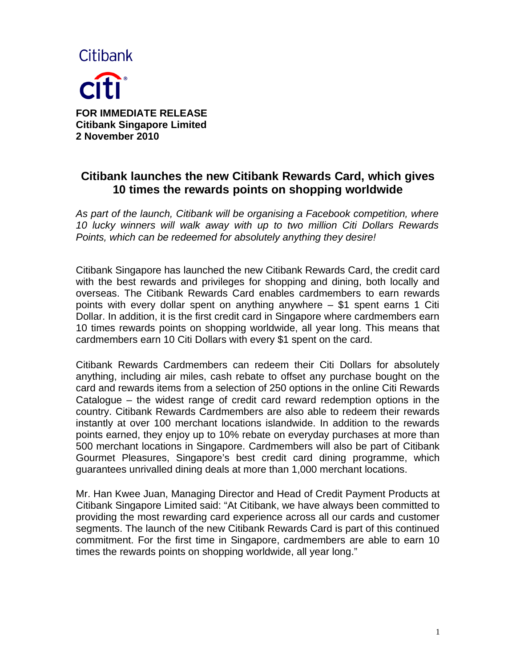

**FOR IMMEDIATE RELEASE Citibank Singapore Limited 2 November 2010**

# **Citibank launches the new Citibank Rewards Card, which gives 10 times the rewards points on shopping worldwide**

*As part of the launch, Citibank will be organising a Facebook competition, where 10 lucky winners will walk away with up to two million Citi Dollars Rewards Points, which can be redeemed for absolutely anything they desire!*

Citibank Singapore has launched the new Citibank Rewards Card, the credit card with the best rewards and privileges for shopping and dining, both locally and overseas. The Citibank Rewards Card enables cardmembers to earn rewards points with every dollar spent on anything anywhere – \$1 spent earns 1 Citi Dollar. In addition, it is the first credit card in Singapore where cardmembers earn 10 times rewards points on shopping worldwide, all year long. This means that cardmembers earn 10 Citi Dollars with every \$1 spent on the card.

Citibank Rewards Cardmembers can redeem their Citi Dollars for absolutely anything, including air miles, cash rebate to offset any purchase bought on the card and rewards items from a selection of 250 options in the online Citi Rewards Catalogue – the widest range of credit card reward redemption options in the country. Citibank Rewards Cardmembers are also able to redeem their rewards instantly at over 100 merchant locations islandwide. In addition to the rewards points earned, they enjoy up to 10% rebate on everyday purchases at more than 500 merchant locations in Singapore. Cardmembers will also be part of Citibank Gourmet Pleasures, Singapore's best credit card dining programme, which guarantees unrivalled dining deals at more than 1,000 merchant locations.

Mr. Han Kwee Juan, Managing Director and Head of Credit Payment Products at Citibank Singapore Limited said: "At Citibank, we have always been committed to providing the most rewarding card experience across all our cards and customer segments. The launch of the new Citibank Rewards Card is part of this continued commitment. For the first time in Singapore, cardmembers are able to earn 10 times the rewards points on shopping worldwide, all year long."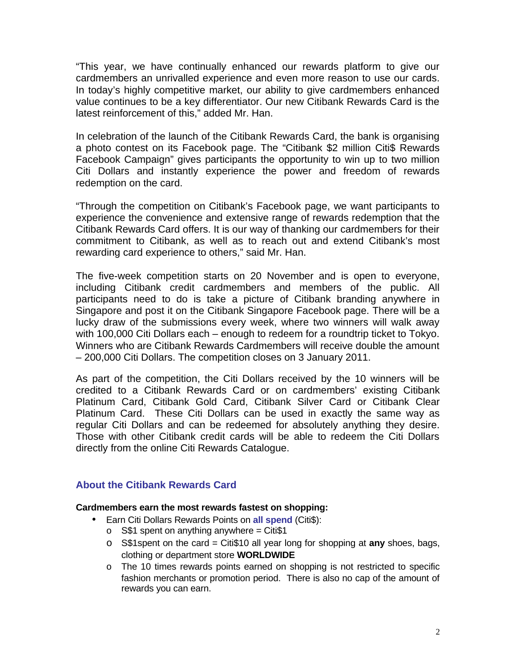"This year, we have continually enhanced our rewards platform to give our cardmembers an unrivalled experience and even more reason to use our cards. In today's highly competitive market, our ability to give cardmembers enhanced value continues to be a key differentiator. Our new Citibank Rewards Card is the latest reinforcement of this," added Mr. Han.

In celebration of the launch of the Citibank Rewards Card, the bank is organising a photo contest on its Facebook page. The "Citibank \$2 million Citi\$ Rewards Facebook Campaign" gives participants the opportunity to win up to two million Citi Dollars and instantly experience the power and freedom of rewards redemption on the card.

"Through the competition on Citibank's Facebook page, we want participants to experience the convenience and extensive range of rewards redemption that the Citibank Rewards Card offers. It is our way of thanking our cardmembers for their commitment to Citibank, as well as to reach out and extend Citibank's most rewarding card experience to others," said Mr. Han.

The five-week competition starts on 20 November and is open to everyone, including Citibank credit cardmembers and members of the public. All participants need to do is take a picture of Citibank branding anywhere in Singapore and post it on the Citibank Singapore Facebook page. There will be a lucky draw of the submissions every week, where two winners will walk away with 100,000 Citi Dollars each – enough to redeem for a roundtrip ticket to Tokyo. Winners who are Citibank Rewards Cardmembers will receive double the amount – 200,000 Citi Dollars. The competition closes on 3 January 2011.

As part of the competition, the Citi Dollars received by the 10 winners will be credited to a Citibank Rewards Card or on cardmembers' existing Citibank Platinum Card, Citibank Gold Card, Citibank Silver Card or Citibank Clear Platinum Card. These Citi Dollars can be used in exactly the same way as regular Citi Dollars and can be redeemed for absolutely anything they desire. Those with other Citibank credit cards will be able to redeem the Citi Dollars directly from the online Citi Rewards Catalogue.

## **About the Citibank Rewards Card**

#### **Cardmembers earn the most rewards fastest on shopping:**

- Earn Citi Dollars Rewards Points on **all spend** (Citi\$):
	- o  $S$1$  spent on anything anywhere = Citi $$1$
	- o S\$1spent on the card = Citi\$10 all year long for shopping at **any** shoes, bags, clothing or department store **WORLDWIDE**
	- o The 10 times rewards points earned on shopping is not restricted to specific fashion merchants or promotion period. There is also no cap of the amount of rewards you can earn.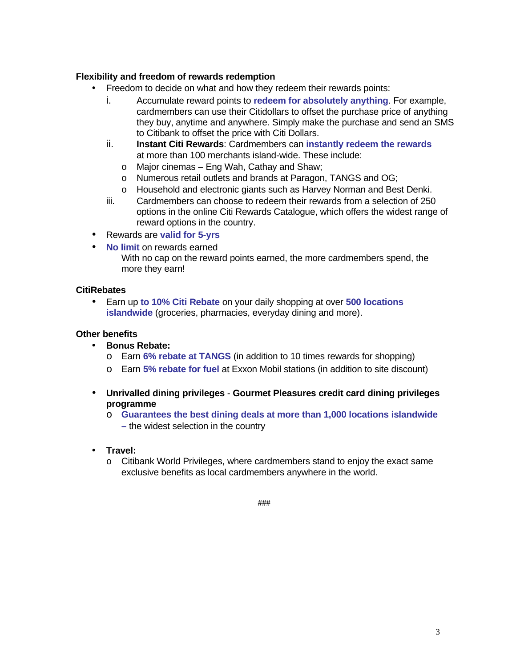### **Flexibility and freedom of rewards redemption**

- Freedom to decide on what and how they redeem their rewards points:
	- i. Accumulate reward points to **redeem for absolutely anything**. For example, cardmembers can use their Citidollars to offset the purchase price of anything they buy, anytime and anywhere. Simply make the purchase and send an SMS to Citibank to offset the price with Citi Dollars.
	- ii. **Instant Citi Rewards**: Cardmembers can **instantly redeem the rewards** at more than 100 merchants island-wide. These include:
		- o Major cinemas Eng Wah, Cathay and Shaw;
		- o Numerous retail outlets and brands at Paragon, TANGS and OG;
		- o Household and electronic giants such as Harvey Norman and Best Denki.
	- iii. Cardmembers can choose to redeem their rewards from a selection of 250 options in the online Citi Rewards Catalogue, which offers the widest range of reward options in the country.
- Rewards are **valid for 5-yrs**
- **No limit** on rewards earned With no cap on the reward points earned, the more cardmembers spend, the more they earn!

#### **CitiRebates**

• Earn up **to 10% Citi Rebate** on your daily shopping at over **500 locations islandwide** (groceries, pharmacies, everyday dining and more).

### **Other benefits**

- **Bonus Rebate:** 
	- o Earn **6% rebate at TANGS** (in addition to 10 times rewards for shopping)
	- o Earn **5% rebate for fuel** at Exxon Mobil stations (in addition to site discount)
- **Unrivalled dining privileges Gourmet Pleasures credit card dining privileges programme**
	- o **Guarantees the best dining deals at more than 1,000 locations islandwide –** the widest selection in the country
- **Travel:** 
	- o Citibank World Privileges, where cardmembers stand to enjoy the exact same exclusive benefits as local cardmembers anywhere in the world.

###